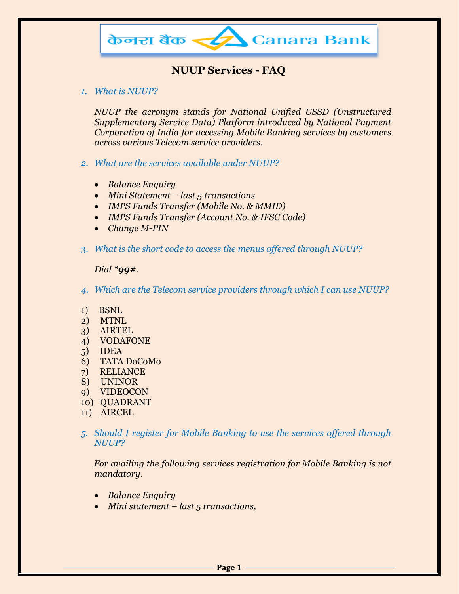

# **NUUP Services - FAQ**

*1. What is NUUP?*

*NUUP the acronym stands for National Unified USSD (Unstructured Supplementary Service Data) Platform introduced by National Payment Corporation of India for accessing Mobile Banking services by customers across various Telecom service providers.*

- *2. What are the services available under NUUP?*
	- *Balance Enquiry*
	- *Mini Statement – last 5 transactions*
	- *IMPS Funds Transfer (Mobile No. & MMID)*
	- *IMPS Funds Transfer (Account No. & IFSC Code)*
	- *Change M-PIN*
- 3. *What is the short code to access the menus offered through NUUP?*

#### *Dial \*99#.*

- *4. Which are the Telecom service providers through which I can use NUUP?*
- 1) BSNL
- 2) MTNL
- 3) AIRTEL
- 4) VODAFONE
- 5) IDEA
- 6) TATA DoCoMo
- 7) RELIANCE
- 8) UNINOR
- 9) VIDEOCON
- 10) QUADRANT
- 11) AIRCEL
- *5. Should I register for Mobile Banking to use the services offered through NUUP?*

 *For availing the following services registration for Mobile Banking is not mandatory.*

- *Balance Enquiry*
- *Mini statement – last 5 transactions,*